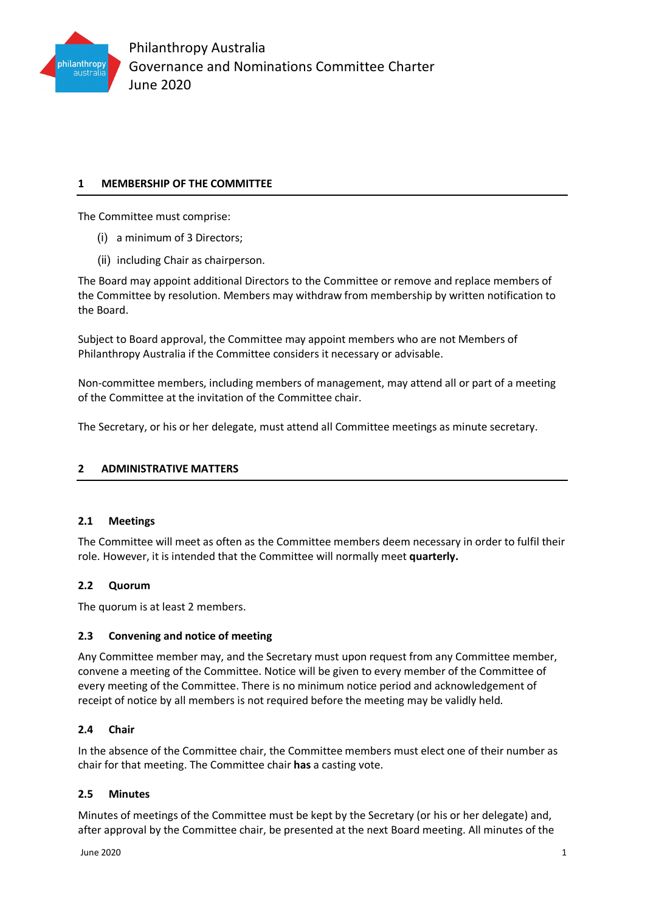

# **1 MEMBERSHIP OF THE COMMITTEE**

The Committee must comprise:

- (i) a minimum of 3 Directors;
- (ii) including Chair as chairperson.

The Board may appoint additional Directors to the Committee or remove and replace members of the Committee by resolution. Members may withdraw from membership by written notification to the Board.

Subject to Board approval, the Committee may appoint members who are not Members of Philanthropy Australia if the Committee considers it necessary or advisable.

Non-committee members, including members of management, may attend all or part of a meeting of the Committee at the invitation of the Committee chair.

The Secretary, or his or her delegate, must attend all Committee meetings as minute secretary.

## **2 ADMINISTRATIVE MATTERS**

## **2.1 Meetings**

The Committee will meet as often as the Committee members deem necessary in order to fulfil their role. However, it is intended that the Committee will normally meet **quarterly.**

## **2.2 Quorum**

The quorum is at least 2 members.

## **2.3 Convening and notice of meeting**

Any Committee member may, and the Secretary must upon request from any Committee member, convene a meeting of the Committee. Notice will be given to every member of the Committee of every meeting of the Committee. There is no minimum notice period and acknowledgement of receipt of notice by all members is not required before the meeting may be validly held.

## **2.4 Chair**

In the absence of the Committee chair, the Committee members must elect one of their number as chair for that meeting. The Committee chair **has** a casting vote.

## **2.5 Minutes**

Minutes of meetings of the Committee must be kept by the Secretary (or his or her delegate) and, after approval by the Committee chair, be presented at the next Board meeting. All minutes of the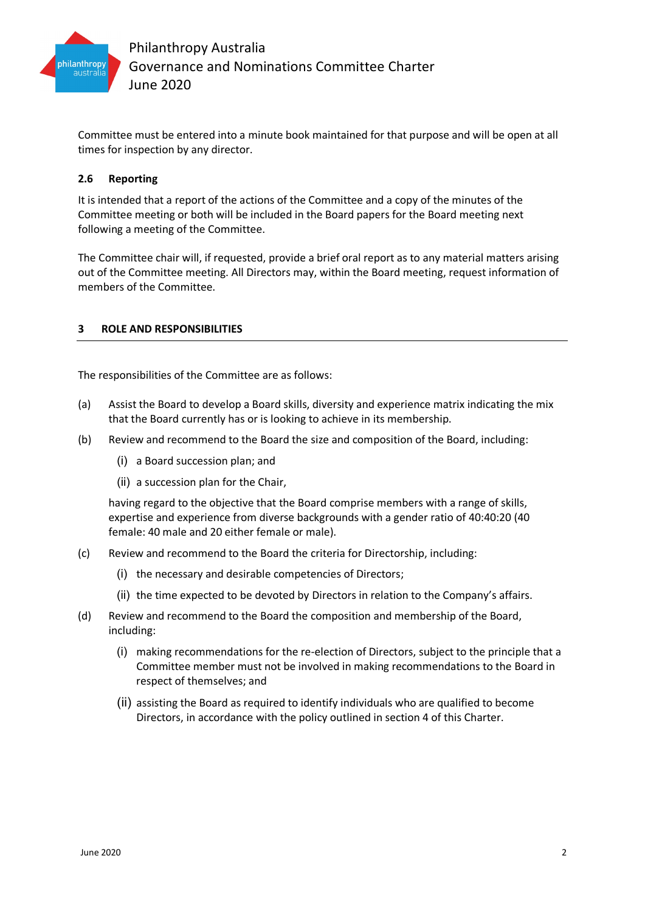

Committee must be entered into a minute book maintained for that purpose and will be open at all times for inspection by any director.

## **2.6 Reporting**

It is intended that a report of the actions of the Committee and a copy of the minutes of the Committee meeting or both will be included in the Board papers for the Board meeting next following a meeting of the Committee.

The Committee chair will, if requested, provide a brief oral report as to any material matters arising out of the Committee meeting. All Directors may, within the Board meeting, request information of members of the Committee.

## **3 ROLE AND RESPONSIBILITIES**

The responsibilities of the Committee are as follows:

- (a) Assist the Board to develop a Board skills, diversity and experience matrix indicating the mix that the Board currently has or is looking to achieve in its membership.
- (b) Review and recommend to the Board the size and composition of the Board, including:
	- (i) a Board succession plan; and
	- (ii) a succession plan for the Chair,

having regard to the objective that the Board comprise members with a range of skills, expertise and experience from diverse backgrounds with a gender ratio of 40:40:20 (40 female: 40 male and 20 either female or male).

- (c) Review and recommend to the Board the criteria for Directorship, including:
	- (i) the necessary and desirable competencies of Directors;
	- (ii) the time expected to be devoted by Directors in relation to the Company's affairs.
- (d) Review and recommend to the Board the composition and membership of the Board, including:
	- (i) making recommendations for the re-election of Directors, subject to the principle that a Committee member must not be involved in making recommendations to the Board in respect of themselves; and
	- (ii) assisting the Board as required to identify individuals who are qualified to become Directors, in accordance with the policy outlined in section 4 of this Charter.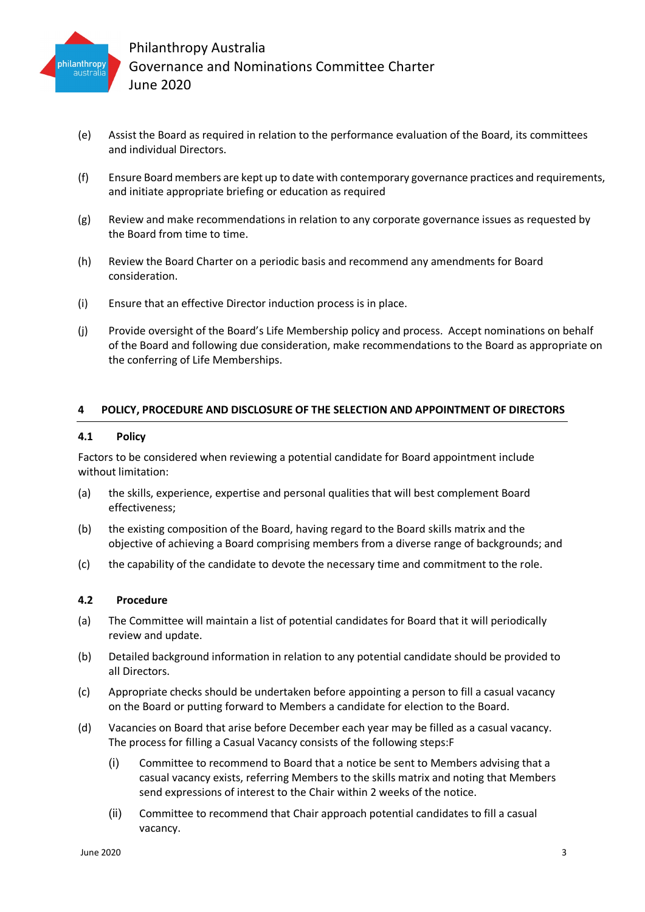

- (e) Assist the Board as required in relation to the performance evaluation of the Board, its committees and individual Directors.
- (f) Ensure Board members are kept up to date with contemporary governance practices and requirements, and initiate appropriate briefing or education as required
- (g) Review and make recommendations in relation to any corporate governance issues as requested by the Board from time to time.
- (h) Review the Board Charter on a periodic basis and recommend any amendments for Board consideration.
- (i) Ensure that an effective Director induction process is in place.
- (j) Provide oversight of the Board's Life Membership policy and process. Accept nominations on behalf of the Board and following due consideration, make recommendations to the Board as appropriate on the conferring of Life Memberships.

#### **4 POLICY, PROCEDURE AND DISCLOSURE OF THE SELECTION AND APPOINTMENT OF DIRECTORS**

#### **4.1 Policy**

Factors to be considered when reviewing a potential candidate for Board appointment include without limitation:

- (a) the skills, experience, expertise and personal qualities that will best complement Board effectiveness;
- (b) the existing composition of the Board, having regard to the Board skills matrix and the objective of achieving a Board comprising members from a diverse range of backgrounds; and
- (c) the capability of the candidate to devote the necessary time and commitment to the role.

#### **4.2 Procedure**

- (a) The Committee will maintain a list of potential candidates for Board that it will periodically review and update.
- (b) Detailed background information in relation to any potential candidate should be provided to all Directors.
- (c) Appropriate checks should be undertaken before appointing a person to fill a casual vacancy on the Board or putting forward to Members a candidate for election to the Board.
- (d) Vacancies on Board that arise before December each year may be filled as a casual vacancy. The process for filling a Casual Vacancy consists of the following steps:F
	- (i) Committee to recommend to Board that a notice be sent to Members advising that a casual vacancy exists, referring Members to the skills matrix and noting that Members send expressions of interest to the Chair within 2 weeks of the notice.
	- (ii) Committee to recommend that Chair approach potential candidates to fill a casual vacancy.